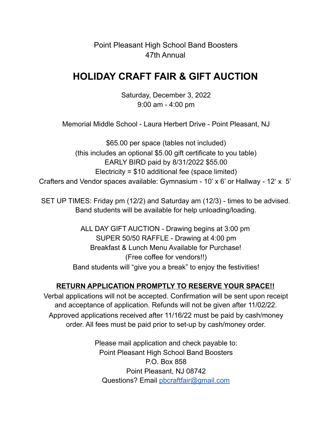Point Pleasant High School Band Boosters 47th Annual

## **HOLIDAY CRAFT FAIR & GIFT AUCTION**

Saturday, December 3, 2022 9:00 am - 4:00 pm

Memorial Middle School - Laura Herbert Drive - Point Pleasant, NJ

\$65.00 per space (tables not included) (this includes an optional \$5.00 gift certificate to you table) EARLY BIRD paid by 8/31/2022 \$55.00 Electricity = \$10 additional fee (space limited) Crafters and Vendor spaces available: Gymnasium - 10' x 6' or Hallway - 12' x 5'

SET UP TIMES: Friday pm (12/2) and Saturday am (12/3) - times to be advised. Band students will be available for help unloading/loading.

> ALL DAY GIFT AUCTION - Drawing begins at 3:00 pm SUPER 50/50 RAFFLE - Drawing at 4:00 pm Breakfast & Lunch Menu Available for Purchase! (Free coffee for vendors!!) Band students will "give you a break" to enjoy the festivities!

## **RETURN APPLICATION PROMPTLY TO RESERVE YOUR SPACE!!**

Verbal applications will not be accepted. Confirmation will be sent upon receipt and acceptance of application. Refunds will not be given after 11/02/22. Approved applications received after 11/16/22 must be paid by cash/money order. All fees must be paid prior to set-up by cash/money order.

> Please mail application and check payable to: Point Pleasant High School Band Boosters P.O. Box 858 Point Pleasant, NJ 08742 Questions? Email pbcraftfair@gmail.com